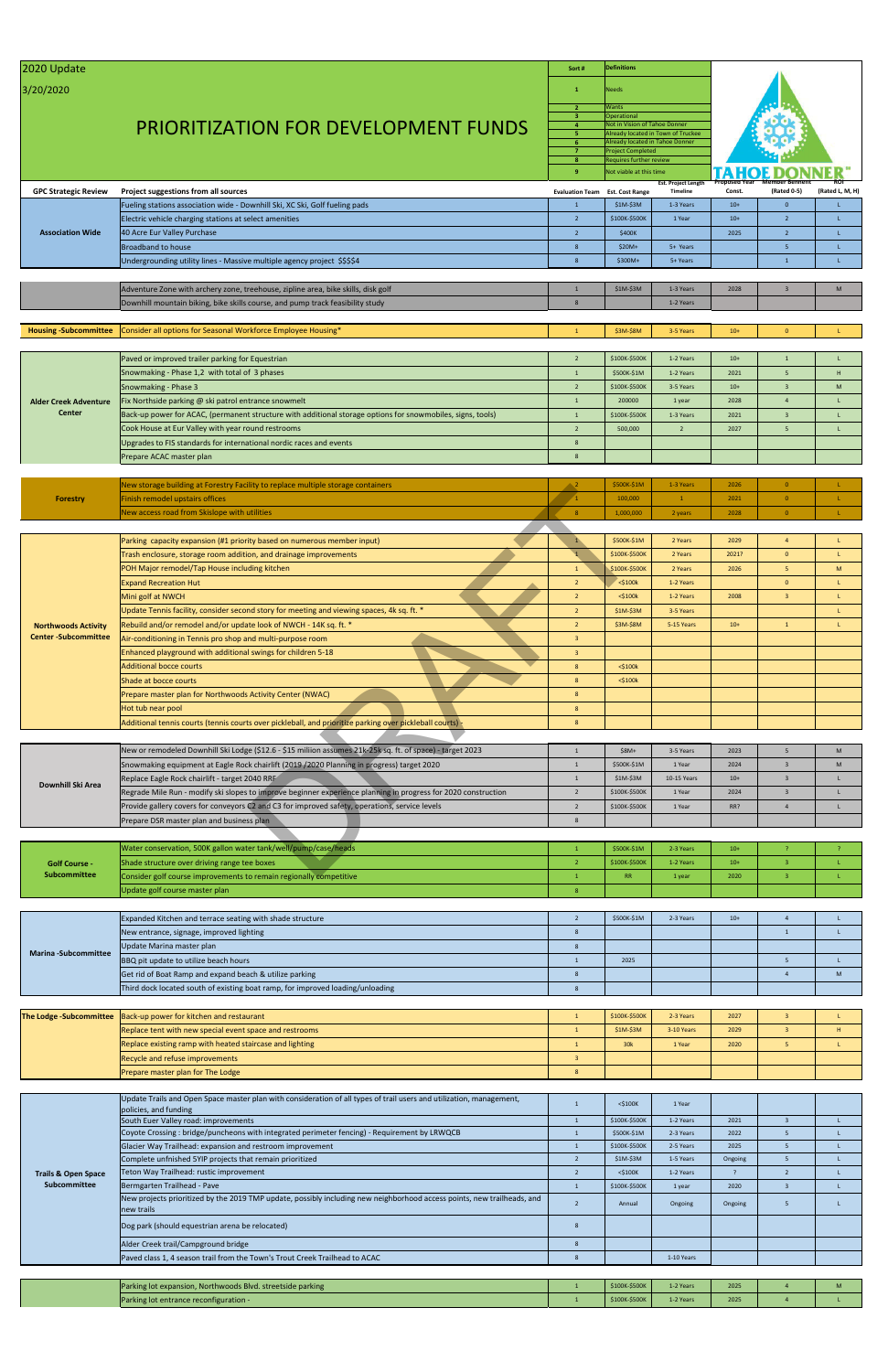| 2020 Update                  |                                                                                                                | Sort#                   | <b>Definitions</b>                                 |                                    |                      |                         |                 |  |
|------------------------------|----------------------------------------------------------------------------------------------------------------|-------------------------|----------------------------------------------------|------------------------------------|----------------------|-------------------------|-----------------|--|
| 3/20/2020                    |                                                                                                                | 1                       | <b>Needs</b>                                       |                                    |                      |                         |                 |  |
|                              |                                                                                                                | $\overline{2}$<br>3     | Wants<br>Operational                               |                                    |                      |                         |                 |  |
|                              | <b>PRIORITIZATION FOR DEVELOPMENT FUNDS</b>                                                                    | $\overline{4}$          | Not in Vision of Tahoe Donner                      |                                    |                      |                         |                 |  |
|                              |                                                                                                                | 5<br>6 <sup>1</sup>     | Already located in Tahoe Donner                    | Already located in Town of Truckee |                      |                         |                 |  |
|                              |                                                                                                                | $\overline{7}$          | <b>Project Completed</b>                           |                                    |                      |                         |                 |  |
|                              |                                                                                                                | 8<br>9                  | Requires further review<br>Not viable at this time |                                    |                      |                         |                 |  |
|                              |                                                                                                                |                         |                                                    | <b>Est. Project Length</b>         | <b>Proposed Year</b> | <b>Member Bennefit</b>  | ROI             |  |
| <b>GPC Strategic Review</b>  | Project suggestions from all sources                                                                           | <b>Evaluation Team</b>  | <b>Est. Cost Range</b>                             | <b>Timeline</b>                    | Const.               | (Rated 0-5)             | (Rated L, M, H) |  |
|                              | Fueling stations association wide - Downhill Ski, XC Ski, Golf fueling pads                                    | $\overline{1}$          | \$1M-\$3M                                          | 1-3 Years                          | $10+$                | $\mathbf{0}$            | L               |  |
|                              | Electric vehicle charging stations at select amenities                                                         | $\overline{2}$          | \$100K-\$500K                                      | 1 Year                             | $10+$                | $2^{\circ}$             | T.              |  |
| <b>Association Wide</b>      | 40 Acre Eur Valley Purchase                                                                                    | 2                       | \$400K                                             |                                    | 2025                 | $\overline{2}$          | T.              |  |
|                              | <b>Broadband to house</b>                                                                                      | 8                       | $$20M+$                                            | 5+ Years                           |                      | $5\phantom{.0}$         | L               |  |
|                              | Undergrounding utility lines - Massive multiple agency project \$\$\$\$4                                       | 8                       | $$300M+$                                           | 5+ Years                           |                      | $\mathbf{1}$            | L               |  |
|                              |                                                                                                                |                         |                                                    |                                    |                      |                         |                 |  |
|                              | Adventure Zone with archery zone, treehouse, zipline area, bike skills, disk golf                              | $\overline{1}$<br>8     | \$1M-\$3M                                          | 1-3 Years                          | 2028                 | $\overline{\mathbf{3}}$ | M               |  |
|                              | Downhill mountain biking, bike skills course, and pump track feasibility study                                 |                         |                                                    | 1-2 Years                          |                      |                         |                 |  |
|                              | Consider all options for Seasonal Workforce Employee Housing*                                                  | $\overline{1}$          | \$3M-\$8M                                          | 3-5 Years                          | $10+$                | $\mathbf{0}$            |                 |  |
| <b>Housing-Subcommittee</b>  |                                                                                                                |                         |                                                    |                                    |                      |                         |                 |  |
|                              | Paved or improved trailer parking for Equestrian                                                               | $\overline{2}$          | \$100K-\$500K                                      | 1-2 Years                          | $10+$                | $\mathbf{1}$            | L.              |  |
|                              | Snowmaking - Phase 1,2 with total of 3 phases                                                                  | $\mathbf{1}$            | \$500K-\$1M                                        | 1-2 Years                          | 2021                 | 5                       | H               |  |
|                              | Snowmaking - Phase 3                                                                                           | $\overline{2}$          | \$100K-\$500K                                      | 3-5 Years                          | $10+$                | $\overline{3}$          | M               |  |
| <b>Alder Creek Adventure</b> | Fix Northside parking @ ski patrol entrance snowmelt                                                           | $\mathbf{1}$            | 200000                                             | 1 year                             | 2028                 | $\overline{4}$          | L.              |  |
| Center                       | Back-up power for ACAC, (permanent structure with additional storage options for snowmobiles, signs, tools)    | $\mathbf{1}$            | \$100K-\$500K                                      | 1-3 Years                          | 2021                 | $\overline{3}$          | L.              |  |
|                              | Cook House at Eur Valley with year round restrooms                                                             | $\overline{2}$          | 500,000                                            | $\overline{2}$                     | 2027                 | 5                       | L               |  |
|                              | Upgrades to FIS standards for international nordic races and events                                            | 8                       |                                                    |                                    |                      |                         |                 |  |
|                              | Prepare ACAC master plan                                                                                       | 8                       |                                                    |                                    |                      |                         |                 |  |
|                              |                                                                                                                |                         |                                                    |                                    |                      |                         |                 |  |
|                              | New storage building at Forestry Facility to replace multiple storage containers                               | $\rightarrow$ 2         | \$500K-\$1M                                        | 1-3 Years                          | 2026                 | $\overline{0}$          |                 |  |
| <b>Forestry</b>              | Finish remodel upstairs offices                                                                                | $\sqrt{1}$              | 100,000                                            | $\mathbf{1}$                       | 2021                 | $\mathbf{0}$            | L               |  |
|                              | New access road from Skislope with utilities                                                                   | 8                       | 1,000,000                                          | 2 years                            | 2028                 | $\mathbf{0}$            | L               |  |
|                              |                                                                                                                |                         |                                                    |                                    |                      |                         |                 |  |
|                              | Parking capacity expansion (#1 priority based on numerous member input)                                        |                         | \$500K-\$1M                                        | 2 Years                            | 2029                 | $\overline{4}$          | L               |  |
|                              | Trash enclosure, storage room addition, and drainage improvements                                              |                         | \$100K-\$500K                                      | 2 Years                            | 2021?                | $\mathbf{0}$            | T.              |  |
|                              | POH Major remodel/Tap House including kitchen                                                                  | $\mathbf{1}$            | \$100K-\$500K                                      | 2 Years                            | 2026                 | 5 <sup>1</sup>          | M               |  |
|                              | <b>Expand Recreation Hut</b>                                                                                   | $\overline{2}$          | $<$ \$100 $k$                                      | 1-2 Years                          |                      | $\mathbf{0}$            | L               |  |
|                              | Mini golf at NWCH                                                                                              | $\overline{2}$          | $<$ \$100 $k$                                      | 1-2 Years                          | 2008                 | $\mathbf{3}$            | -L              |  |
|                              | Update Tennis facility, consider second story for meeting and viewing spaces, 4k sq. ft. *                     | $\overline{2}$          | \$1M-\$3M                                          | 3-5 Years                          |                      |                         | L               |  |
| <b>Northwoods Activity</b>   | Rebuild and/or remodel and/or update look of NWCH - 14K sq. ft. *                                              | $\overline{2}$          | \$3M-\$8M                                          | 5-15 Years                         | $10+$                | $\mathbf{1}$            | L               |  |
| <b>Center-Subcommittee</b>   | Air-conditioning in Tennis pro shop and multi-purpose room                                                     | $\overline{3}$          |                                                    |                                    |                      |                         |                 |  |
|                              | Enhanced playground with additional swings for children 5-18                                                   | $\overline{\mathbf{3}}$ |                                                    |                                    |                      |                         |                 |  |
|                              | <b>Additional bocce courts</b>                                                                                 | 8                       | $<$ \$100 $k$                                      |                                    |                      |                         |                 |  |
|                              | Shade at bocce courts                                                                                          | 8                       | $<$ \$100 $k$                                      |                                    |                      |                         |                 |  |
|                              | Prepare master plan for Northwoods Activity Center (NWAC)                                                      | 8                       |                                                    |                                    |                      |                         |                 |  |
|                              | Hot tub near pool                                                                                              | 8<br>8                  |                                                    |                                    |                      |                         |                 |  |
|                              | Additional tennis courts (tennis courts over pickleball, and prioritize parking over pickleball courts) -      |                         |                                                    |                                    |                      |                         |                 |  |
|                              | New or remodeled Downhill Ski Lodge (\$12.6 - \$15 miliion assumes 21k-25k sq. ft. of space) - target 2023     | $\mathbf{1}$            | $$8M+$                                             | 3-5 Years                          | 2023                 | 5 <sup>5</sup>          | M               |  |
|                              | Snowmaking equipment at Eagle Rock chairlift (2019 / 2020 Planning in progress) target 2020                    | $\mathbf{1}$            | \$500K-\$1M                                        | 1 Year                             | 2024                 | $\overline{3}$          | M               |  |
|                              | Replace Eagle Rock chairlift - target 2040 RRF                                                                 | $\mathbf{1}$            | \$1M-\$3M                                          | 10-15 Years                        | $10+$                | $\mathbf{3}$            | L               |  |
| Downhill Ski Area            | Regrade Mile Run - modify ski slopes to improve beginner experience planning in progress for 2020 construction | $\overline{2}$          | \$100K-\$500K                                      | 1 Year                             | 2024                 | $\mathbf{3}$            | L               |  |
|                              | Provide gallery covers for conveyors C2 and C3 for improved safety, operations, service levels                 | $\overline{2}$          | \$100K-\$500K                                      | 1 Year                             | RR?                  | $\overline{4}$          | L               |  |
|                              | Prepare DSR master plan and business plan                                                                      | 8                       |                                                    |                                    |                      |                         |                 |  |
|                              |                                                                                                                |                         |                                                    |                                    |                      |                         |                 |  |
|                              | Water conservation, 500K gallon water tank/well/pump/case/heads                                                | $\overline{1}$          | \$500K-\$1M                                        | 2-3 Years                          | $10+$                | $\overline{z}$          |                 |  |
| <b>Golf Course -</b>         | Shade structure over driving range tee boxes                                                                   | $\overline{2}$          | \$100K-\$500K                                      | 1-2 Years                          | $10+$                | $\overline{3}$          | L               |  |
| <b>Subcommittee</b>          | Consider golf course improvements to remain regionally competitive                                             | $\overline{1}$          | RR                                                 | 1 year                             | 2020                 | $\overline{3}$          | L               |  |
|                              | Update golf course master plan                                                                                 | $\mathbf{8}$            |                                                    |                                    |                      |                         |                 |  |
|                              |                                                                                                                |                         |                                                    |                                    |                      |                         |                 |  |
|                              | Expanded Kitchen and terrace seating with shade structure                                                      | $\overline{2}$          | \$500K-\$1M                                        | 2-3 Years                          | $10+$                | $\overline{4}$          | L               |  |
|                              | New entrance, signage, improved lighting                                                                       | 8                       |                                                    |                                    |                      | $\mathbf{1}$            | $\mathsf{L}$    |  |
| <b>Marina -Subcommittee</b>  | Update Marina master plan                                                                                      | 8                       |                                                    |                                    |                      |                         |                 |  |
|                              | BBQ pit update to utilize beach hours                                                                          | $\mathbf{1}$            | 2025                                               |                                    |                      | $5\phantom{.0}$         | L               |  |
|                              | Get rid of Boat Ramp and expand beach & utilize parking                                                        | 8                       |                                                    |                                    |                      | $\overline{4}$          | M               |  |
|                              | Third dock located south of existing boat ramp, for improved loading/unloading                                 | 8                       |                                                    |                                    |                      |                         |                 |  |

| <b>The Lodge-Subcommittee</b> Back-up power for kitchen and restaurant | <b>\$100K-\$500K</b> | 2-3 Years  | 2027 |  |
|------------------------------------------------------------------------|----------------------|------------|------|--|
| Replace tent with new special event space and restrooms                | $$1M-$3M$            | 3-10 Years | 2029 |  |
| Replace existing ramp with heated staircase and lighting               | 30 <sub>k</sub>      | 1 Year     | 2020 |  |
| Recycle and refuse improvements                                        |                      |            |      |  |
| Prepare master plan for The Lodge                                      |                      |            |      |  |

|                                                | Update Trails and Open Space master plan with consideration of all types of trail users and utilization, management,<br>policies, and funding | $<$ \$100K    | 1 Year     |         |  |
|------------------------------------------------|-----------------------------------------------------------------------------------------------------------------------------------------------|---------------|------------|---------|--|
|                                                | South Euer Valley road: improvements                                                                                                          | \$100K-\$500K | 1-2 Years  | 2021    |  |
|                                                | Coyote Crossing: bridge/puncheons with integrated perimeter fencing) - Requirement by LRWQCB                                                  | \$500K-\$1M   | 2-3 Years  | 2022    |  |
|                                                | Glacier Way Trailhead: expansion and restroom improvement                                                                                     | \$100K-\$500K | 2-5 Years  | 2025    |  |
| <b>Trails &amp; Open Space</b><br>Subcommittee | Complete unfnished 5YIP projects that remain prioritized                                                                                      | \$1M-\$3M     | 1-5 Years  | Ongoing |  |
|                                                | Teton Way Trailhead: rustic improvement                                                                                                       | $<$ \$100K    | 1-2 Years  |         |  |
|                                                | Bermgarten Trailhead - Pave                                                                                                                   | \$100K-\$500K | 1 year     | 2020    |  |
|                                                | New projects prioritized by the 2019 TMP update, possibly including new neighborhood access points, new trailheads, and<br>new trails         | Annual        | Ongoing    | Ongoing |  |
|                                                | Dog park (should equestrian arena be relocated)                                                                                               |               |            |         |  |
|                                                | Alder Creek trail/Campground bridge                                                                                                           |               |            |         |  |
|                                                | Paved class 1, 4 season trail from the Town's Trout Creek Trailhead to ACAC                                                                   |               | 1-10 Years |         |  |

|  | Parking lot expansion, Northwoods Blvd. streetside parking | \$100K-\$500K                          | 1-2 Years     | 2025      |      |  |
|--|------------------------------------------------------------|----------------------------------------|---------------|-----------|------|--|
|  |                                                            | Parking lot entrance reconfiguration - | \$100K-\$500K | 1-2 Years | 2025 |  |